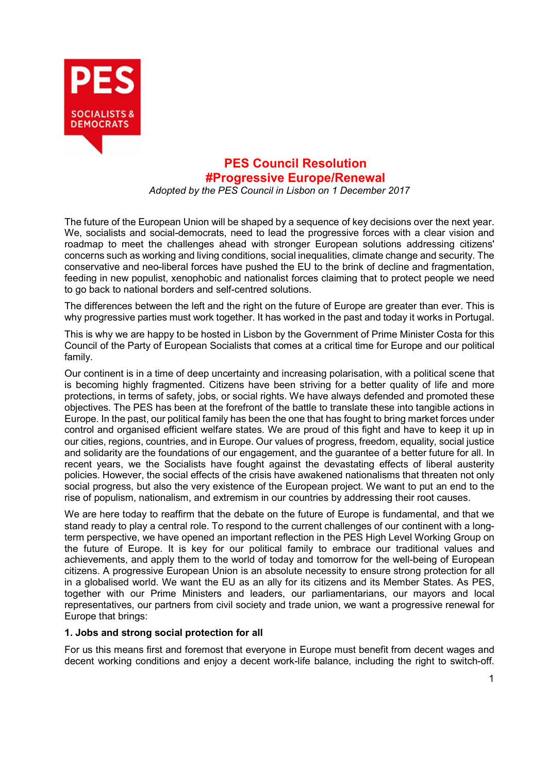

# **PES Council Resolution #Progressive Europe/Renewal**

*Adopted by the PES Council in Lisbon on 1 December 2017*

The future of the European Union will be shaped by a sequence of key decisions over the next year. We, socialists and social-democrats, need to lead the progressive forces with a clear vision and roadmap to meet the challenges ahead with stronger European solutions addressing citizens' concerns such as working and living conditions, social inequalities, climate change and security. The conservative and neo-liberal forces have pushed the EU to the brink of decline and fragmentation, feeding in new populist, xenophobic and nationalist forces claiming that to protect people we need to go back to national borders and self-centred solutions.

The differences between the left and the right on the future of Europe are greater than ever. This is why progressive parties must work together. It has worked in the past and today it works in Portugal.

This is why we are happy to be hosted in Lisbon by the Government of Prime Minister Costa for this Council of the Party of European Socialists that comes at a critical time for Europe and our political family.

Our continent is in a time of deep uncertainty and increasing polarisation, with a political scene that is becoming highly fragmented. Citizens have been striving for a better quality of life and more protections, in terms of safety, jobs, or social rights. We have always defended and promoted these objectives. The PES has been at the forefront of the battle to translate these into tangible actions in Europe. In the past, our political family has been the one that has fought to bring market forces under control and organised efficient welfare states. We are proud of this fight and have to keep it up in our cities, regions, countries, and in Europe. Our values of progress, freedom, equality, social justice and solidarity are the foundations of our engagement, and the guarantee of a better future for all. In recent years, we the Socialists have fought against the devastating effects of liberal austerity policies. However, the social effects of the crisis have awakened nationalisms that threaten not only social progress, but also the very existence of the European project. We want to put an end to the rise of populism, nationalism, and extremism in our countries by addressing their root causes.

We are here today to reaffirm that the debate on the future of Europe is fundamental, and that we stand ready to play a central role. To respond to the current challenges of our continent with a longterm perspective, we have opened an important reflection in the PES High Level Working Group on the future of Europe. It is key for our political family to embrace our traditional values and achievements, and apply them to the world of today and tomorrow for the well-being of European citizens. A progressive European Union is an absolute necessity to ensure strong protection for all in a globalised world. We want the EU as an ally for its citizens and its Member States. As PES, together with our Prime Ministers and leaders, our parliamentarians, our mayors and local representatives, our partners from civil society and trade union, we want a progressive renewal for Europe that brings:

# **1. Jobs and strong social protection for all**

For us this means first and foremost that everyone in Europe must benefit from decent wages and decent working conditions and enjoy a decent work-life balance, including the right to switch-off.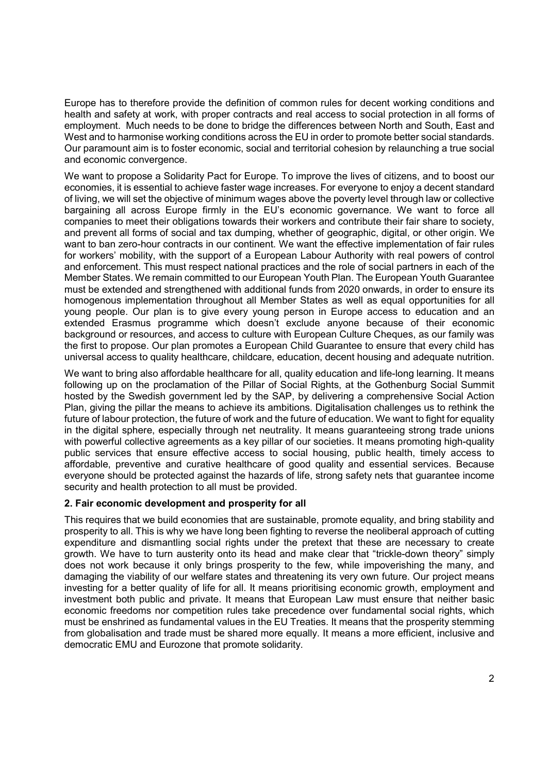Europe has to therefore provide the definition of common rules for decent working conditions and health and safety at work, with proper contracts and real access to social protection in all forms of employment. Much needs to be done to bridge the differences between North and South, East and West and to harmonise working conditions across the EU in order to promote better social standards. Our paramount aim is to foster economic, social and territorial cohesion by relaunching a true social and economic convergence.

We want to propose a Solidarity Pact for Europe. To improve the lives of citizens, and to boost our economies, it is essential to achieve faster wage increases. For everyone to enjoy a decent standard of living, we will set the objective of minimum wages above the poverty level through law or collective bargaining all across Europe firmly in the EU's economic governance. We want to force all companies to meet their obligations towards their workers and contribute their fair share to society, and prevent all forms of social and tax dumping, whether of geographic, digital, or other origin. We want to ban zero-hour contracts in our continent. We want the effective implementation of fair rules for workers' mobility, with the support of a European Labour Authority with real powers of control and enforcement. This must respect national practices and the role of social partners in each of the Member States. We remain committed to our European Youth Plan. The European Youth Guarantee must be extended and strengthened with additional funds from 2020 onwards, in order to ensure its homogenous implementation throughout all Member States as well as equal opportunities for all young people. Our plan is to give every young person in Europe access to education and an extended Erasmus programme which doesn't exclude anyone because of their economic background or resources, and access to culture with European Culture Cheques, as our family was the first to propose. Our plan promotes a European Child Guarantee to ensure that every child has universal access to quality healthcare, childcare, education, decent housing and adequate nutrition.

We want to bring also affordable healthcare for all, quality education and life-long learning. It means following up on the proclamation of the Pillar of Social Rights, at the Gothenburg Social Summit hosted by the Swedish government led by the SAP, by delivering a comprehensive Social Action Plan, giving the pillar the means to achieve its ambitions. Digitalisation challenges us to rethink the future of labour protection, the future of work and the future of education. We want to fight for equality in the digital sphere, especially through net neutrality. It means guaranteeing strong trade unions with powerful collective agreements as a key pillar of our societies. It means promoting high-quality public services that ensure effective access to social housing, public health, timely access to affordable, preventive and curative healthcare of good quality and essential services. Because everyone should be protected against the hazards of life, strong safety nets that guarantee income security and health protection to all must be provided.

#### **2. Fair economic development and prosperity for all**

This requires that we build economies that are sustainable, promote equality, and bring stability and prosperity to all. This is why we have long been fighting to reverse the neoliberal approach of cutting expenditure and dismantling social rights under the pretext that these are necessary to create growth. We have to turn austerity onto its head and make clear that "trickle-down theory" simply does not work because it only brings prosperity to the few, while impoverishing the many, and damaging the viability of our welfare states and threatening its very own future. Our project means investing for a better quality of life for all. It means prioritising economic growth, employment and investment both public and private. It means that European Law must ensure that neither basic economic freedoms nor competition rules take precedence over fundamental social rights, which must be enshrined as fundamental values in the EU Treaties. It means that the prosperity stemming from globalisation and trade must be shared more equally. It means a more efficient, inclusive and democratic EMU and Eurozone that promote solidarity.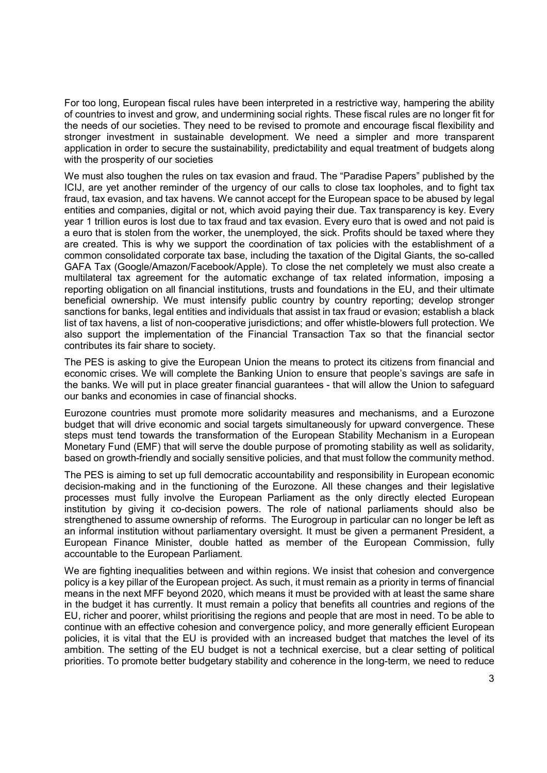For too long, European fiscal rules have been interpreted in a restrictive way, hampering the ability of countries to invest and grow, and undermining social rights. These fiscal rules are no longer fit for the needs of our societies. They need to be revised to promote and encourage fiscal flexibility and stronger investment in sustainable development. We need a simpler and more transparent application in order to secure the sustainability, predictability and equal treatment of budgets along with the prosperity of our societies

We must also toughen the rules on tax evasion and fraud. The "Paradise Papers" published by the ICIJ, are yet another reminder of the urgency of our calls to close tax loopholes, and to fight tax fraud, tax evasion, and tax havens. We cannot accept for the European space to be abused by legal entities and companies, digital or not, which avoid paying their due. Tax transparency is key. Every year 1 trillion euros is lost due to tax fraud and tax evasion. Every euro that is owed and not paid is a euro that is stolen from the worker, the unemployed, the sick. Profits should be taxed where they are created. This is why we support the coordination of tax policies with the establishment of a common consolidated corporate tax base, including the taxation of the Digital Giants, the so-called GAFA Tax (Google/Amazon/Facebook/Apple). To close the net completely we must also create a multilateral tax agreement for the automatic exchange of tax related information, imposing a reporting obligation on all financial institutions, trusts and foundations in the EU, and their ultimate beneficial ownership. We must intensify public country by country reporting; develop stronger sanctions for banks, legal entities and individuals that assist in tax fraud or evasion; establish a black list of tax havens, a list of non-cooperative jurisdictions; and offer whistle-blowers full protection. We also support the implementation of the Financial Transaction Tax so that the financial sector contributes its fair share to society.

The PES is asking to give the European Union the means to protect its citizens from financial and economic crises. We will complete the Banking Union to ensure that people's savings are safe in the banks. We will put in place greater financial guarantees - that will allow the Union to safeguard our banks and economies in case of financial shocks.

Eurozone countries must promote more solidarity measures and mechanisms, and a Eurozone budget that will drive economic and social targets simultaneously for upward convergence. These steps must tend towards the transformation of the European Stability Mechanism in a European Monetary Fund (EMF) that will serve the double purpose of promoting stability as well as solidarity, based on growth-friendly and socially sensitive policies, and that must follow the community method.

The PES is aiming to set up full democratic accountability and responsibility in European economic decision-making and in the functioning of the Eurozone. All these changes and their legislative processes must fully involve the European Parliament as the only directly elected European institution by giving it co-decision powers. The role of national parliaments should also be strengthened to assume ownership of reforms. The Eurogroup in particular can no longer be left as an informal institution without parliamentary oversight. It must be given a permanent President, a European Finance Minister, double hatted as member of the European Commission, fully accountable to the European Parliament.

We are fighting inequalities between and within regions. We insist that cohesion and convergence policy is a key pillar of the European project. As such, it must remain as a priority in terms of financial means in the next MFF beyond 2020, which means it must be provided with at least the same share in the budget it has currently. It must remain a policy that benefits all countries and regions of the EU, richer and poorer, whilst prioritising the regions and people that are most in need. To be able to continue with an effective cohesion and convergence policy, and more generally efficient European policies, it is vital that the EU is provided with an increased budget that matches the level of its ambition. The setting of the EU budget is not a technical exercise, but a clear setting of political priorities. To promote better budgetary stability and coherence in the long-term, we need to reduce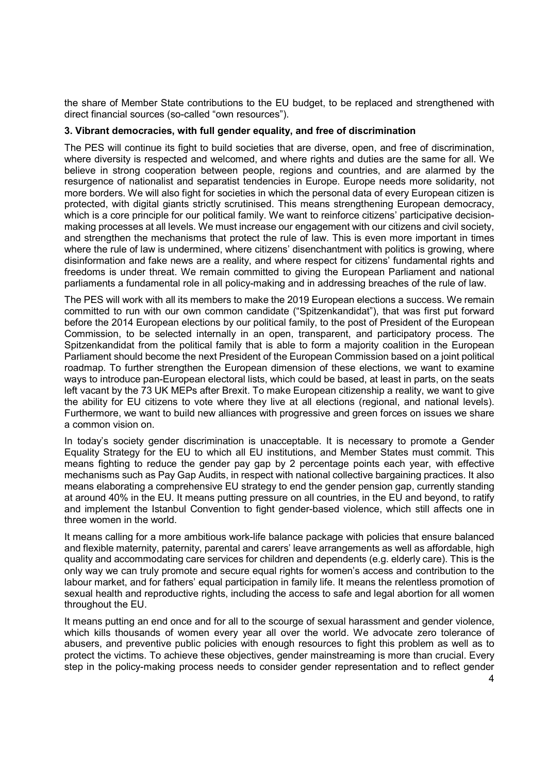the share of Member State contributions to the EU budget, to be replaced and strengthened with direct financial sources (so-called "own resources").

#### **3. Vibrant democracies, with full gender equality, and free of discrimination**

The PES will continue its fight to build societies that are diverse, open, and free of discrimination, where diversity is respected and welcomed, and where rights and duties are the same for all. We believe in strong cooperation between people, regions and countries, and are alarmed by the resurgence of nationalist and separatist tendencies in Europe. Europe needs more solidarity, not more borders. We will also fight for societies in which the personal data of every European citizen is protected, with digital giants strictly scrutinised. This means strengthening European democracy, which is a core principle for our political family. We want to reinforce citizens' participative decisionmaking processes at all levels. We must increase our engagement with our citizens and civil society, and strengthen the mechanisms that protect the rule of law. This is even more important in times where the rule of law is undermined, where citizens' disenchantment with politics is growing, where disinformation and fake news are a reality, and where respect for citizens' fundamental rights and freedoms is under threat. We remain committed to giving the European Parliament and national parliaments a fundamental role in all policy-making and in addressing breaches of the rule of law.

The PES will work with all its members to make the 2019 European elections a success. We remain committed to run with our own common candidate ("Spitzenkandidat"), that was first put forward before the 2014 European elections by our political family, to the post of President of the European Commission, to be selected internally in an open, transparent, and participatory process. The Spitzenkandidat from the political family that is able to form a majority coalition in the European Parliament should become the next President of the European Commission based on a joint political roadmap. To further strengthen the European dimension of these elections, we want to examine ways to introduce pan-European electoral lists, which could be based, at least in parts, on the seats left vacant by the 73 UK MEPs after Brexit. To make European citizenship a reality, we want to give the ability for EU citizens to vote where they live at all elections (regional, and national levels). Furthermore, we want to build new alliances with progressive and green forces on issues we share a common vision on.

In today's society gender discrimination is unacceptable. It is necessary to promote a Gender Equality Strategy for the EU to which all EU institutions, and Member States must commit. This means fighting to reduce the gender pay gap by 2 percentage points each year, with effective mechanisms such as Pay Gap Audits, in respect with national collective bargaining practices. It also means elaborating a comprehensive EU strategy to end the gender pension gap, currently standing at around 40% in the EU. It means putting pressure on all countries, in the EU and beyond, to ratify and implement the Istanbul Convention to fight gender-based violence, which still affects one in three women in the world.

It means calling for a more ambitious work-life balance package with policies that ensure balanced and flexible maternity, paternity, parental and carers' leave arrangements as well as affordable, high quality and accommodating care services for children and dependents (e.g. elderly care). This is the only way we can truly promote and secure equal rights for women's access and contribution to the labour market, and for fathers' equal participation in family life. It means the relentless promotion of sexual health and reproductive rights, including the access to safe and legal abortion for all women throughout the EU.

It means putting an end once and for all to the scourge of sexual harassment and gender violence, which kills thousands of women every year all over the world. We advocate zero tolerance of abusers, and preventive public policies with enough resources to fight this problem as well as to protect the victims. To achieve these objectives, gender mainstreaming is more than crucial. Every step in the policy-making process needs to consider gender representation and to reflect gender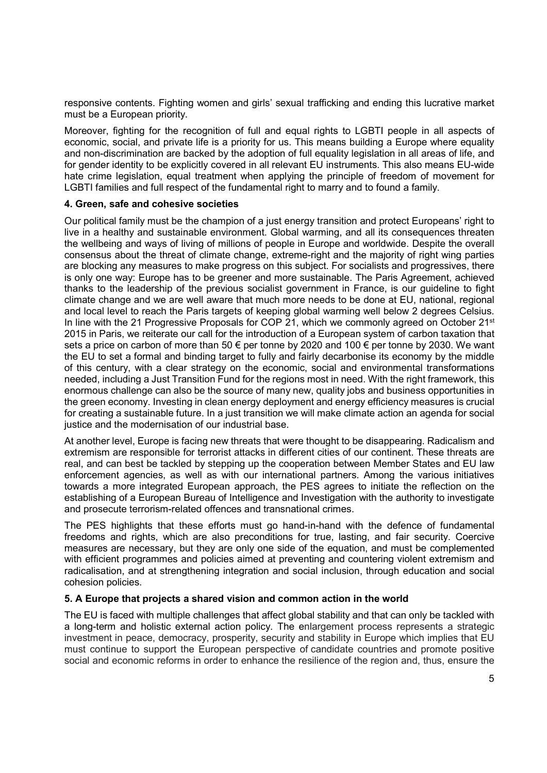responsive contents. Fighting women and girls' sexual trafficking and ending this lucrative market must be a European priority.

Moreover, fighting for the recognition of full and equal rights to LGBTI people in all aspects of economic, social, and private life is a priority for us. This means building a Europe where equality and non-discrimination are backed by the adoption of full equality legislation in all areas of life, and for gender identity to be explicitly covered in all relevant EU instruments. This also means EU-wide hate crime legislation, equal treatment when applying the principle of freedom of movement for LGBTI families and full respect of the fundamental right to marry and to found a family.

## **4. Green, safe and cohesive societies**

Our political family must be the champion of a just energy transition and protect Europeans' right to live in a healthy and sustainable environment. Global warming, and all its consequences threaten the wellbeing and ways of living of millions of people in Europe and worldwide. Despite the overall consensus about the threat of climate change, extreme-right and the majority of right wing parties are blocking any measures to make progress on this subject. For socialists and progressives, there is only one way: Europe has to be greener and more sustainable. The Paris Agreement, achieved thanks to the leadership of the previous socialist government in France, is our guideline to fight climate change and we are well aware that much more needs to be done at EU, national, regional and local level to reach the Paris targets of keeping global warming well below 2 degrees Celsius. In line with the 21 Progressive Proposals for COP 21, which we commonly agreed on October  $21<sup>st</sup>$ 2015 in Paris, we reiterate our call for the introduction of a European system of carbon taxation that sets a price on carbon of more than 50 € per tonne by 2020 and 100 € per tonne by 2030. We want the EU to set a formal and binding target to fully and fairly decarbonise its economy by the middle of this century, with a clear strategy on the economic, social and environmental transformations needed, including a Just Transition Fund for the regions most in need. With the right framework, this enormous challenge can also be the source of many new, quality jobs and business opportunities in the green economy. Investing in clean energy deployment and energy efficiency measures is crucial for creating a sustainable future. In a just transition we will make climate action an agenda for social justice and the modernisation of our industrial base.

At another level, Europe is facing new threats that were thought to be disappearing. Radicalism and extremism are responsible for terrorist attacks in different cities of our continent. These threats are real, and can best be tackled by stepping up the cooperation between Member States and EU law enforcement agencies, as well as with our international partners. Among the various initiatives towards a more integrated European approach, the PES agrees to initiate the reflection on the establishing of a European Bureau of Intelligence and Investigation with the authority to investigate and prosecute terrorism-related offences and transnational crimes.

The PES highlights that these efforts must go hand-in-hand with the defence of fundamental freedoms and rights, which are also preconditions for true, lasting, and fair security. Coercive measures are necessary, but they are only one side of the equation, and must be complemented with efficient programmes and policies aimed at preventing and countering violent extremism and radicalisation, and at strengthening integration and social inclusion, through education and social cohesion policies.

# **5. A Europe that projects a shared vision and common action in the world**

The EU is faced with multiple challenges that affect global stability and that can only be tackled with a long-term and holistic external action policy. The enlargement process represents a strategic investment in peace, democracy, prosperity, security and stability in Europe which implies that EU must continue to support the European perspective of candidate countries and promote positive social and economic reforms in order to enhance the resilience of the region and, thus, ensure the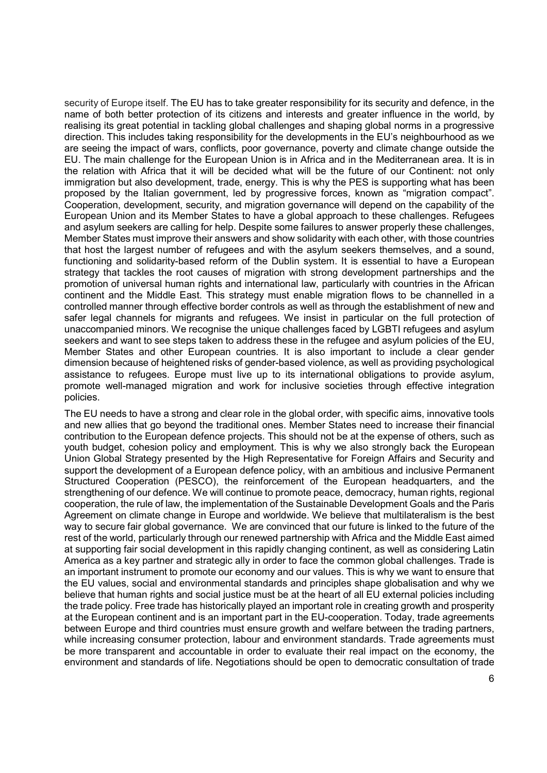security of Europe itself. The EU has to take greater responsibility for its security and defence, in the name of both better protection of its citizens and interests and greater influence in the world, by realising its great potential in tackling global challenges and shaping global norms in a progressive direction. This includes taking responsibility for the developments in the EU's neighbourhood as we are seeing the impact of wars, conflicts, poor governance, poverty and climate change outside the EU. The main challenge for the European Union is in Africa and in the Mediterranean area. It is in the relation with Africa that it will be decided what will be the future of our Continent: not only immigration but also development, trade, energy. This is why the PES is supporting what has been proposed by the Italian government, led by progressive forces, known as "migration compact". Cooperation, development, security, and migration governance will depend on the capability of the European Union and its Member States to have a global approach to these challenges. Refugees and asylum seekers are calling for help. Despite some failures to answer properly these challenges, Member States must improve their answers and show solidarity with each other, with those countries that host the largest number of refugees and with the asylum seekers themselves, and a sound, functioning and solidarity-based reform of the Dublin system. It is essential to have a European strategy that tackles the root causes of migration with strong development partnerships and the promotion of universal human rights and international law, particularly with countries in the African continent and the Middle East. This strategy must enable migration flows to be channelled in a controlled manner through effective border controls as well as through the establishment of new and safer legal channels for migrants and refugees. We insist in particular on the full protection of unaccompanied minors. We recognise the unique challenges faced by LGBTI refugees and asylum seekers and want to see steps taken to address these in the refugee and asylum policies of the EU, Member States and other European countries. It is also important to include a clear gender dimension because of heightened risks of gender-based violence, as well as providing psychological assistance to refugees. Europe must live up to its international obligations to provide asylum, promote well-managed migration and work for inclusive societies through effective integration policies.

The EU needs to have a strong and clear role in the global order, with specific aims, innovative tools and new allies that go beyond the traditional ones. Member States need to increase their financial contribution to the European defence projects. This should not be at the expense of others, such as youth budget, cohesion policy and employment. This is why we also strongly back the European Union Global Strategy presented by the High Representative for Foreign Affairs and Security and support the development of a European defence policy, with an ambitious and inclusive Permanent Structured Cooperation (PESCO), the reinforcement of the European headquarters, and the strengthening of our defence. We will continue to promote peace, democracy, human rights, regional cooperation, the rule of law, the implementation of the Sustainable Development Goals and the Paris Agreement on climate change in Europe and worldwide. We believe that multilateralism is the best way to secure fair global governance. We are convinced that our future is linked to the future of the rest of the world, particularly through our renewed partnership with Africa and the Middle East aimed at supporting fair social development in this rapidly changing continent, as well as considering Latin America as a key partner and strategic ally in order to face the common global challenges. Trade is an important instrument to promote our economy and our values. This is why we want to ensure that the EU values, social and environmental standards and principles shape globalisation and why we believe that human rights and social justice must be at the heart of all EU external policies including the trade policy. Free trade has historically played an important role in creating growth and prosperity at the European continent and is an important part in the EU-cooperation. Today, trade agreements between Europe and third countries must ensure growth and welfare between the trading partners, while increasing consumer protection, labour and environment standards. Trade agreements must be more transparent and accountable in order to evaluate their real impact on the economy, the environment and standards of life. Negotiations should be open to democratic consultation of trade